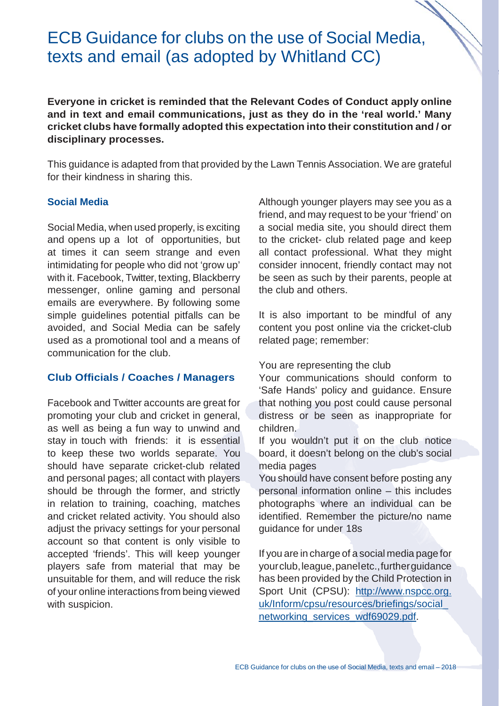# ECB Guidance for clubs on the use of Social Media, texts and email (as adopted by Whitland CC)

**Everyone in cricket is reminded that the Relevant Codes of Conduct apply online and in text and email communications, just as they do in the 'real world.' Many cricket clubs have formally adopted this expectation into their constitution and / or disciplinary processes.**

This guidance is adapted from that provided by the Lawn Tennis Association. We are grateful for their kindness in sharing this.

### **Social Media**

Social Media, when used properly, is exciting and opens up a lot of opportunities, but at times it can seem strange and even intimidating for people who did not 'grow up' with it. Facebook, Twitter, texting, Blackberry messenger, online gaming and personal emails are everywhere. By following some simple guidelines potential pitfalls can be avoided, and Social Media can be safely used as a promotional tool and a means of communication for the club.

#### **Club Officials / Coaches / Managers**

Facebook and Twitter accounts are great for promoting your club and cricket in general, as well as being a fun way to unwind and stay in touch with friends: it is essential to keep these two worlds separate. You should have separate cricket-club related and personal pages; all contact with players should be through the former, and strictly in relation to training, coaching, matches and cricket related activity. You should also adjust the privacy settings for your personal account so that content is only visible to accepted 'friends'. This will keep younger players safe from material that may be unsuitable for them, and will reduce the risk of your online interactions from being viewed with suspicion.

Although younger players may see you as a friend, and may request to be your 'friend' on a social media site, you should direct them to the cricket- club related page and keep all contact professional. What they might consider innocent, friendly contact may not be seen as such by their parents, people at the club and others.

It is also important to be mindful of any content you post online via the cricket-club related page; remember:

#### You are representing the club

Your communications should conform to 'Safe Hands' policy and guidance. Ensure that nothing you post could cause personal distress or be seen as inappropriate for children.

If you wouldn't put it on the club notice board, it doesn't belong on the club's social media pages

You should have consent before posting any personal information online – this includes photographs where an individual can be identified. Remember the picture/no name guidance for under 18s

If you are in charge of a social media page for yourclub,league,paneletc.,furtherguidance has been provided by the Child Protection in Sport Unit (CPSU): [http://www.nspcc.org.](http://www.nspcc.org/) uk/Inform/cpsu/resources/briefings/social\_ networking\_services\_wdf69029.pdf.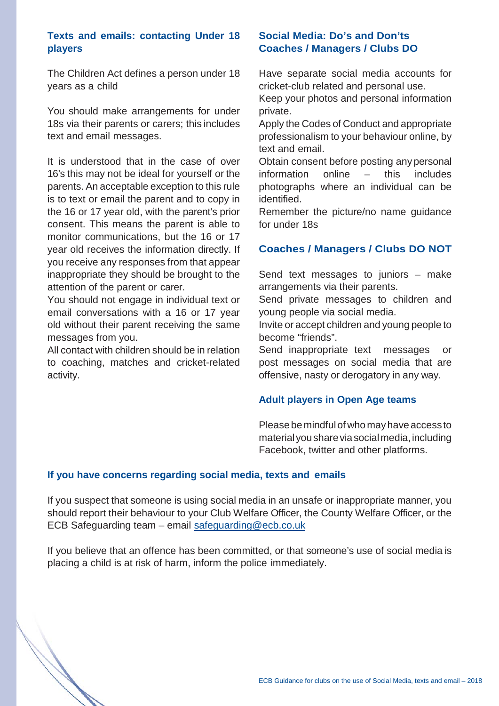## **Texts and emails: contacting Under 18 players**

The Children Act defines a person under 18 years as a child

You should make arrangements for under 18s via their parents or carers; this includes text and email messages.

It is understood that in the case of over 16's this may not be ideal for yourself or the parents. An acceptable exception to this rule is to text or email the parent and to copy in the 16 or 17 year old, with the parent's prior consent. This means the parent is able to monitor communications, but the 16 or 17 year old receives the information directly. If you receive any responses from that appear inappropriate they should be brought to the attention of the parent or carer.

You should not engage in individual text or email conversations with a 16 or 17 year old without their parent receiving the same messages from you.

All contact with children should be in relation to coaching, matches and cricket-related activity.

## **Social Media: Do's and Don'ts Coaches / Managers / Clubs DO**

Have separate social media accounts for cricket-club related and personal use. Keep your photos and personal information private.

Apply the Codes of Conduct and appropriate professionalism to your behaviour online, by text and email.

Obtain consent before posting any personal information online – this includes photographs where an individual can be identified.

Remember the picture/no name guidance for under 18s

## **Coaches / Managers / Clubs DO NOT**

Send text messages to juniors – make arrangements via their parents.

Send private messages to children and young people via social media.

Invite or accept children and young people to become "friends".

Send inappropriate text messages or post messages on social media that are offensive, nasty or derogatory in any way.

#### **Adult players in Open Age teams**

Pleasebemindfulof who mayhave access to material you share via social media, including Facebook, twitter and other platforms.

#### **If you have concerns regarding social media, texts and emails**

If you suspect that someone is using social media in an unsafe or inappropriate manner, you should report their behaviour to your Club Welfare Officer, the County Welfare Officer, or the ECB Safeguarding team – email [safeguarding@ecb.co.uk](mailto:safeguarding@ecb.co.uk)

If you believe that an offence has been committed, or that someone's use of social media is placing a child is at risk of harm, inform the police immediately.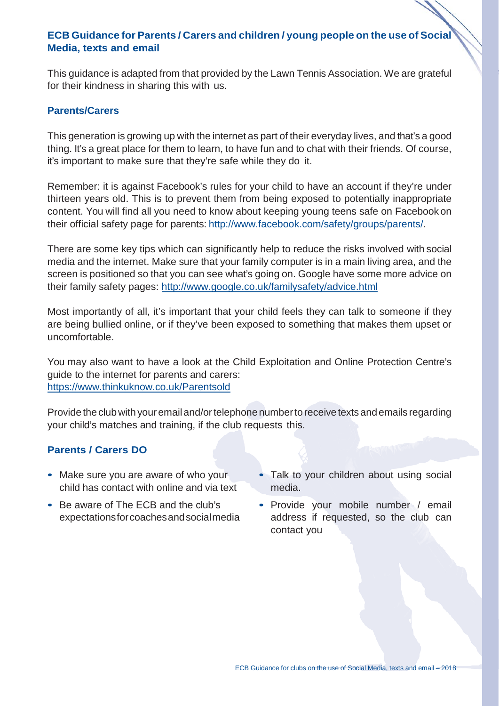## **ECB Guidance for Parents / Carers and children / young people on the use of Social Media, texts and email**

This guidance is adapted from that provided by the Lawn Tennis Association. We are grateful for their kindness in sharing this with us.

#### **Parents/Carers**

This generation is growing up with the internet as part of their everyday lives, and that's a good thing. It's a great place for them to learn, to have fun and to chat with their friends. Of course, it's important to make sure that they're safe while they do it.

Remember: it is against Facebook's rules for your child to have an account if they're under thirteen years old. This is to prevent them from being exposed to potentially inappropriate content. You will find all you need to know about keeping young teens safe on Facebook on their official safety page for parents: [http://www.facebook.com/safety/groups/parents/.](http://www.facebook.com/safety/groups/parents/)

There are some key tips which can significantly help to reduce the risks involved with social media and the internet. Make sure that your family computer is in a main living area, and the screen is positioned so that you can see what's going on. Google have some more advice on their family safety pages:<http://www.google.co.uk/familysafety/advice.html>

Most importantly of all, it's important that your child feels they can talk to someone if they are being bullied online, or if they've been exposed to something that makes them upset or uncomfortable.

You may also want to have a look at the Child Exploitation and Online Protection Centre's guide to the internet for parents and carers: [https://www.thinkuknow.co.uk/Pare](http://www.thinkuknow.co.uk/Parentsold)ntsold

Provide the club with your email and/or telephone number to receive texts and emails regarding your child's matches and training, if the club requests this.

## **Parents / Carers DO**

- Make sure you are aware of who your child has contact with online and via text
- Be aware of The ECB and the club's expectationsforcoachesandsocialmedia
- Talk to your children about using social media.
- Provide your mobile number / email address if requested, so the club can contact you